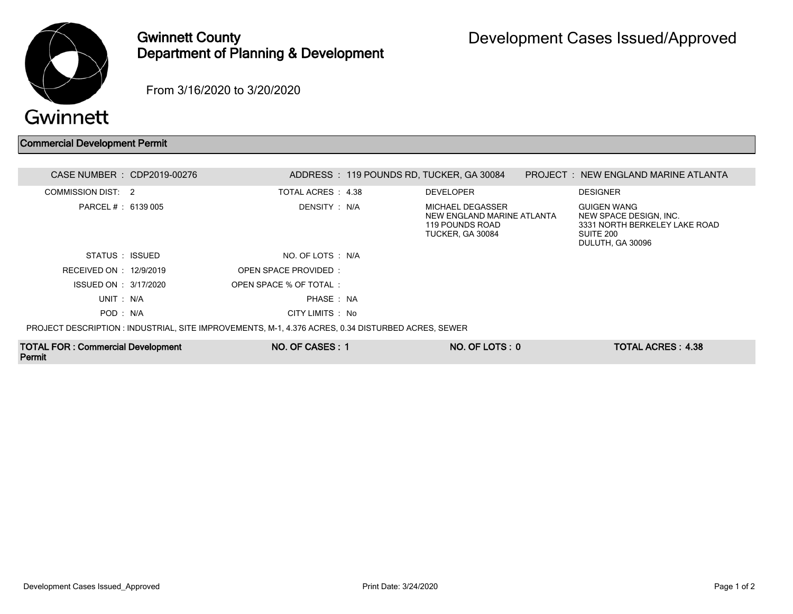

Permit

## Gwinnett County Department of Planning & Development

From 3/16/2020 to 3/20/2020

## Commercial Development Permit

| <b>TOTAL FOR: Commercial Development</b> | NO. OF CASES: 1                                                                                    | NO. OF LOTS: 0                                                                        | <b>TOTAL ACRES: 4.38</b>                                                                                       |  |
|------------------------------------------|----------------------------------------------------------------------------------------------------|---------------------------------------------------------------------------------------|----------------------------------------------------------------------------------------------------------------|--|
|                                          | PROJECT DESCRIPTION : INDUSTRIAL, SITE IMPROVEMENTS, M-1, 4.376 ACRES, 0.34 DISTURBED ACRES, SEWER |                                                                                       |                                                                                                                |  |
| POD: N/A                                 | CITY LIMITS : No                                                                                   |                                                                                       |                                                                                                                |  |
| UNIT: N/A                                | PHASE: NA                                                                                          |                                                                                       |                                                                                                                |  |
| ISSUED ON : 3/17/2020                    | OPEN SPACE % OF TOTAL:                                                                             |                                                                                       |                                                                                                                |  |
| RECEIVED ON : 12/9/2019                  | OPEN SPACE PROVIDED:                                                                               |                                                                                       |                                                                                                                |  |
| STATUS : ISSUED                          | NO. OF LOTS : N/A                                                                                  |                                                                                       |                                                                                                                |  |
| PARCEL # : 6139 005                      | DENSITY : N/A                                                                                      | MICHAEL DEGASSER<br>NEW ENGLAND MARINE ATLANTA<br>119 POUNDS ROAD<br>TUCKER, GA 30084 | <b>GUIGEN WANG</b><br>NEW SPACE DESIGN, INC.<br>3331 NORTH BERKELEY LAKE ROAD<br>SUITE 200<br>DULUTH, GA 30096 |  |
| COMMISSION DIST: 2                       | TOTAL ACRES 4.38                                                                                   | <b>DEVELOPER</b>                                                                      | <b>DESIGNER</b>                                                                                                |  |
| CASE NUMBER : CDP2019-00276              |                                                                                                    | ADDRESS: 119 POUNDS RD, TUCKER, GA 30084                                              | <b>PROJECT : NEW ENGLAND MARINE ATLANTA</b>                                                                    |  |
|                                          |                                                                                                    |                                                                                       |                                                                                                                |  |

Development Cases Issued\_Approved Print Date: 3/24/2020 Page 1 of 2